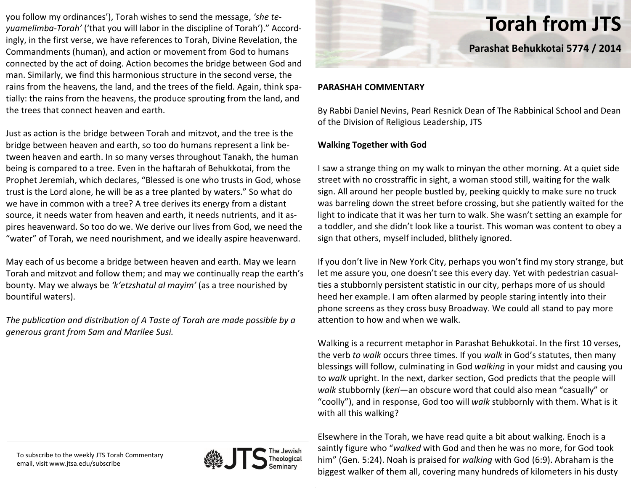you follow my ordinances'), Torah wishes to send the message, *'she te‐ yuamelimba‐Torah'* ('that you will labor in the discipline of Torah')." Accord‐ ingly, in the first verse, we have references to Torah, Divine Revelation, the Commandments (human), and action or movement from God to humans connected by the act of doing. Action becomes the bridge between God and man. Similarly, we find this harmonious structure in the second verse, the rains from the heavens, the land, and the trees of the field. Again, think spa‐ tially: the rains from the heavens, the produce sprouting from the land, and the trees that connect heaven and earth.

Just as action is the bridge between Torah and mitzvot, and the tree is the bridge between heaven and earth, so too do humans represent <sup>a</sup> link be‐ tween heaven and earth. In so many verses throughout Tanakh, the human being is compared to <sup>a</sup> tree. Even in the haftarah of Behukkotai, from the Prophet Jeremiah, which declares, "Blessed is one who trusts in God, whose trust is the Lord alone, he will be as <sup>a</sup> tree planted by waters." So what do we have in common with <sup>a</sup> tree? A tree derives its energy from <sup>a</sup> distant source, it needs water from heaven and earth, it needs nutrients, and it aspires heavenward. So too do we. We derive our lives from God, we need the "water" of Torah, we need nourishment, and we ideally aspire heavenward.

May each of us become <sup>a</sup> bridge between heaven and earth. May we learn Torah and mitzvot and follow them; and may we continually reap the earth's bounty. May we always be *'k'etzshatul al mayim'* (as <sup>a</sup> tree nourished by bountiful waters).

*The publication and distribution of A Taste of Torah are made possible by <sup>a</sup> generous grant from Sam and Marilee Susi.*



# **Torah from JTS**

**Parashat Behukkotai 5774 / 2014**

## **PARASHAH COMMENTARY**

By Rabbi Daniel Nevins, Pearl Resnick Dean of The Rabbinical School and Dean of the Division of Religious Leadership, JTS

## **Walking Together with God**

II saw a strange thing on my walk to minyan the other morning. At a quiet side street with no crosstraffic in sight, <sup>a</sup> woman stood still, waiting for the walk sign. All around her people bustled by, peeking quickly to make sure no truck was barreling down the street before crossing, but she patiently waited for the light to indicate that it was her turn to walk. She wasn't setting an example for a toddler, and she didn't look like <sup>a</sup> tourist. This woman was content to obey <sup>a</sup> sign that others, myself included, blithely ignored.

If you don't live in New York City, perhaps you won't find my story strange, but let me assure you, one doesn't see this every day. Yet with pedestrian casual‐ ties a stubbornly persistent statistic in our city, perhaps more of us should heed her example. I am often alarmed by people staring intently into their phone screens as they cross busy Broadway. We could all stand to pay more attention to how and when we walk.

Walking is <sup>a</sup> recurrent metaphor in Parashat Behukkotai. In the first 10 verses, the verb *to walk* occurs three times. If you *walk* in God's statutes, then many blessings will follow, culminating in God *walking* in your midst and causing you to *walk* upright. In the next, darker section, God predicts that the people will *walk* stubbornly (*keri*—an obscure word that could also mean "casually" or "coolly"), and in response, God too will *walk* stubbornly with them. What is it with all this walking?

Elsewhere in the Torah, we have read quite <sup>a</sup> bit about walking. Enoch is <sup>a</sup> saintly figure who "*walked* with God and then he was no more, for God took him" (Gen. 5:24). Noah is praised for *walking* with God (6:9). Abraham is the biggest walker of them all, covering many hundreds of kilometers in his dusty